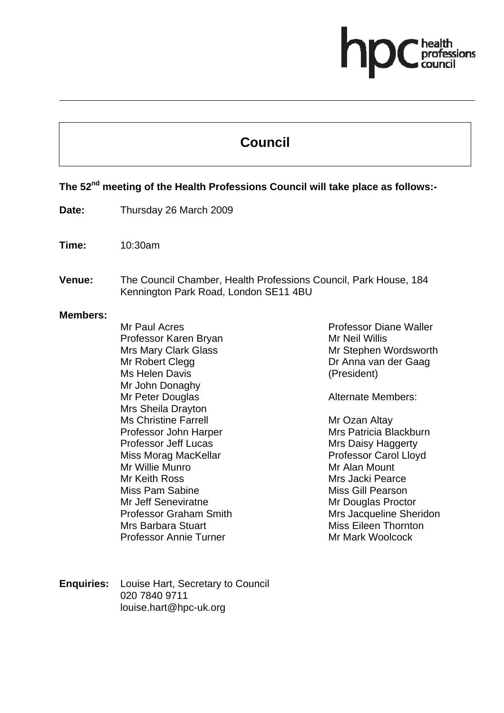# fessions

# **Council**

## **The 52nd meeting of the Health Professions Council will take place as follows:-**

- **Date:** Thursday 26 March 2009
- **Time:** 10:30am
- **Venue:** The Council Chamber, Health Professions Council, Park House, 184 Kennington Park Road, London SE11 4BU

#### **Members:**

Mr Paul Acres Professor Karen Bryan Mrs Mary Clark Glass Mr Robert Clegg Ms Helen Davis Mr John Donaghy Mr Peter Douglas Mrs Sheila Drayton Ms Christine Farrell Professor John Harper Professor Jeff Lucas Miss Morag MacKellar Mr Willie Munro Mr Keith Ross Miss Pam Sabine Mr Jeff Seneviratne Professor Graham Smith Mrs Barbara Stuart Professor Annie Turner

Professor Diane Waller Mr Neil Willis Mr Stephen Wordsworth Dr Anna van der Gaag (President)

Alternate Members:

Mr Ozan Altay Mrs Patricia Blackburn Mrs Daisy Haggerty Professor Carol Lloyd Mr Alan Mount Mrs Jacki Pearce Miss Gill Pearson Mr Douglas Proctor Mrs Jacqueline Sheridon Miss Eileen Thornton Mr Mark Woolcock

**Enquiries:** Louise Hart, Secretary to Council 020 7840 9711 louise.hart@hpc-uk.org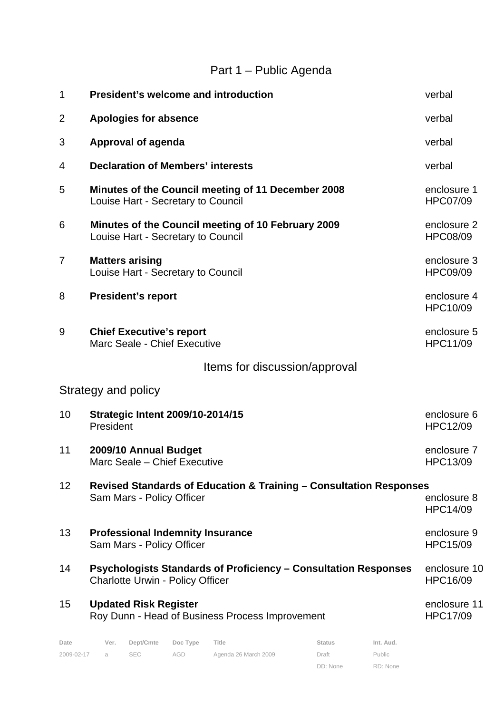## Part 1 – Public Agenda

| 1               | <b>President's welcome and introduction</b>                                                                       | verbal                          |
|-----------------|-------------------------------------------------------------------------------------------------------------------|---------------------------------|
| $\overline{2}$  | <b>Apologies for absence</b>                                                                                      | verbal                          |
| 3               | <b>Approval of agenda</b>                                                                                         | verbal                          |
| 4               | <b>Declaration of Members' interests</b>                                                                          | verbal                          |
| 5               | Minutes of the Council meeting of 11 December 2008<br>Louise Hart - Secretary to Council                          | enclosure 1<br><b>HPC07/09</b>  |
| 6               | Minutes of the Council meeting of 10 February 2009<br>Louise Hart - Secretary to Council                          | enclosure 2<br><b>HPC08/09</b>  |
| 7               | <b>Matters arising</b><br>Louise Hart - Secretary to Council                                                      | enclosure 3<br><b>HPC09/09</b>  |
| 8               | <b>President's report</b>                                                                                         | enclosure 4<br>HPC10/09         |
| 9               | <b>Chief Executive's report</b><br>Marc Seale - Chief Executive                                                   | enclosure 5<br><b>HPC11/09</b>  |
|                 | Items for discussion/approval                                                                                     |                                 |
|                 | Strategy and policy                                                                                               |                                 |
| 10              | <b>Strategic Intent 2009/10-2014/15</b><br>President                                                              | enclosure 6<br><b>HPC12/09</b>  |
| 11              | 2009/10 Annual Budget<br>Marc Seale - Chief Executive                                                             | enclosure 7<br>HPC13/09         |
| 12 <sup>2</sup> | Revised Standards of Education & Training – Consultation Responses                                                |                                 |
|                 | Sam Mars - Policy Officer                                                                                         | enclosure 8<br><b>HPC14/09</b>  |
| 13              | <b>Professional Indemnity Insurance</b><br>Sam Mars - Policy Officer                                              | enclosure 9<br><b>HPC15/09</b>  |
| 14              | <b>Psychologists Standards of Proficiency - Consultation Responses</b><br><b>Charlotte Urwin - Policy Officer</b> | enclosure 10<br><b>HPC16/09</b> |
| 15              | <b>Updated Risk Register</b><br>Roy Dunn - Head of Business Process Improvement                                   | enclosure 11<br><b>HPC17/09</b> |
| Date            | Dept/Cmte<br>Doc Type<br>Title<br><b>Status</b><br>Int. Aud.<br>Ver.                                              |                                 |

DD: None

Public RD: None

2009-02-17 a SEC AGD Agenda 26 March 2009 Draft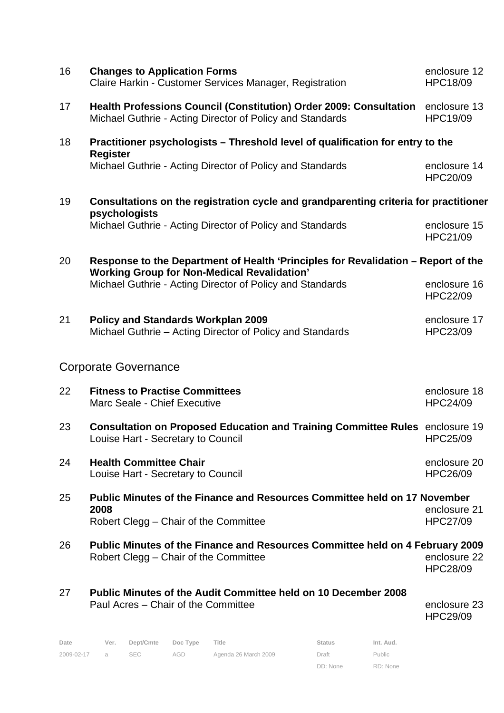| 16 | <b>Changes to Application Forms</b><br>Claire Harkin - Customer Services Manager, Registration                                          | enclosure 12<br><b>HPC18/09</b> |
|----|-----------------------------------------------------------------------------------------------------------------------------------------|---------------------------------|
| 17 | <b>Health Professions Council (Constitution) Order 2009: Consultation</b><br>Michael Guthrie - Acting Director of Policy and Standards  | enclosure 13<br>HPC19/09        |
| 18 | Practitioner psychologists - Threshold level of qualification for entry to the<br><b>Register</b>                                       |                                 |
|    | Michael Guthrie - Acting Director of Policy and Standards                                                                               | enclosure 14<br><b>HPC20/09</b> |
| 19 | Consultations on the registration cycle and grandparenting criteria for practitioner<br>psychologists                                   |                                 |
|    | Michael Guthrie - Acting Director of Policy and Standards                                                                               | enclosure 15<br>HPC21/09        |
| 20 | Response to the Department of Health 'Principles for Revalidation – Report of the<br><b>Working Group for Non-Medical Revalidation'</b> |                                 |
|    | Michael Guthrie - Acting Director of Policy and Standards                                                                               | enclosure 16<br><b>HPC22/09</b> |
| 21 | <b>Policy and Standards Workplan 2009</b><br>Michael Guthrie - Acting Director of Policy and Standards                                  | enclosure 17<br>HPC23/09        |
|    | <b>Corporate Governance</b>                                                                                                             |                                 |
| 22 | <b>Fitness to Practise Committees</b><br>Marc Seale - Chief Executive                                                                   | enclosure 18<br><b>HPC24/09</b> |
| 23 | Consultation on Proposed Education and Training Committee Rules enclosure 19<br>Louise Hart - Secretary to Council                      | <b>HPC25/09</b>                 |
| 24 | <b>Health Committee Chair</b><br>Louise Hart - Secretary to Council                                                                     | enclosure 20<br><b>HPC26/09</b> |
| 25 | <b>Public Minutes of the Finance and Resources Committee held on 17 November</b><br>2008                                                | enclosure 21                    |
|    | Robert Clegg - Chair of the Committee                                                                                                   | <b>HPC27/09</b>                 |
| 26 | Public Minutes of the Finance and Resources Committee held on 4 February 2009<br>Robert Clegg – Chair of the Committee                  | enclosure 22<br><b>HPC28/09</b> |
| 27 | Public Minutes of the Audit Committee held on 10 December 2008<br>Paul Acres - Chair of the Committee                                   | enclosure 23<br><b>HPC29/09</b> |

| Date       | Ver.           | Dept/Cmte Doc Type |     | Title                | <b>Status</b> | Int. Aud. |
|------------|----------------|--------------------|-----|----------------------|---------------|-----------|
| 2009-02-17 | $\overline{a}$ |                    | AGD | Agenda 26 March 2009 | Draft         | Public    |

DD: None RD: None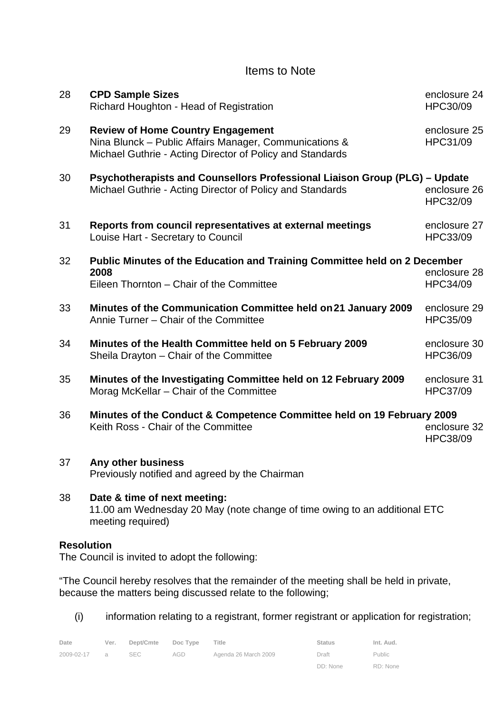### Items to Note

| 28 | <b>CPD Sample Sizes</b><br>Richard Houghton - Head of Registration                                                                                              | enclosure 24<br>HPC30/09 |
|----|-----------------------------------------------------------------------------------------------------------------------------------------------------------------|--------------------------|
| 29 | <b>Review of Home Country Engagement</b><br>Nina Blunck - Public Affairs Manager, Communications &<br>Michael Guthrie - Acting Director of Policy and Standards | enclosure 25<br>HPC31/09 |
| 30 | Psychotherapists and Counsellors Professional Liaison Group (PLG) - Update<br>Michael Guthrie - Acting Director of Policy and Standards                         | enclosure 26<br>HPC32/09 |
| 31 | Reports from council representatives at external meetings<br>Louise Hart - Secretary to Council                                                                 | enclosure 27<br>HPC33/09 |
| 32 | Public Minutes of the Education and Training Committee held on 2 December                                                                                       |                          |
|    | 2008                                                                                                                                                            | enclosure 28             |
|    | Eileen Thornton - Chair of the Committee                                                                                                                        | HPC34/09                 |
| 33 | Minutes of the Communication Committee held on 21 January 2009<br>Annie Turner - Chair of the Committee                                                         | enclosure 29<br>HPC35/09 |
| 34 | Minutes of the Health Committee held on 5 February 2009<br>Sheila Drayton - Chair of the Committee                                                              | enclosure 30<br>HPC36/09 |
| 35 | Minutes of the Investigating Committee held on 12 February 2009<br>Morag McKellar - Chair of the Committee                                                      | enclosure 31<br>HPC37/09 |
| 36 | Minutes of the Conduct & Competence Committee held on 19 February 2009<br>Keith Ross - Chair of the Committee                                                   | enclosure 32<br>HPC38/09 |
| 37 | Any other business<br>Previously notified and agreed by the Chairman                                                                                            |                          |
| 38 | Date & time of next meeting:                                                                                                                                    |                          |

#### 11.00 am Wednesday 20 May (note change of time owing to an additional ETC meeting required)

#### **Resolution**

The Council is invited to adopt the following:

"The Council hereby resolves that the remainder of the meeting shall be held in private, because the matters being discussed relate to the following;

(i) information relating to a registrant, former registrant or application for registration;

| Date       | Ver.           | Dept/Cmte | Doc Type | Title                | <b>Status</b> | Int. Aud.     |
|------------|----------------|-----------|----------|----------------------|---------------|---------------|
| 2009-02-17 | $\overline{a}$ | SEC.      | AGD      | Agenda 26 March 2009 | Draft         | <b>Public</b> |
|            |                |           |          |                      | DD: None      | RD: None      |